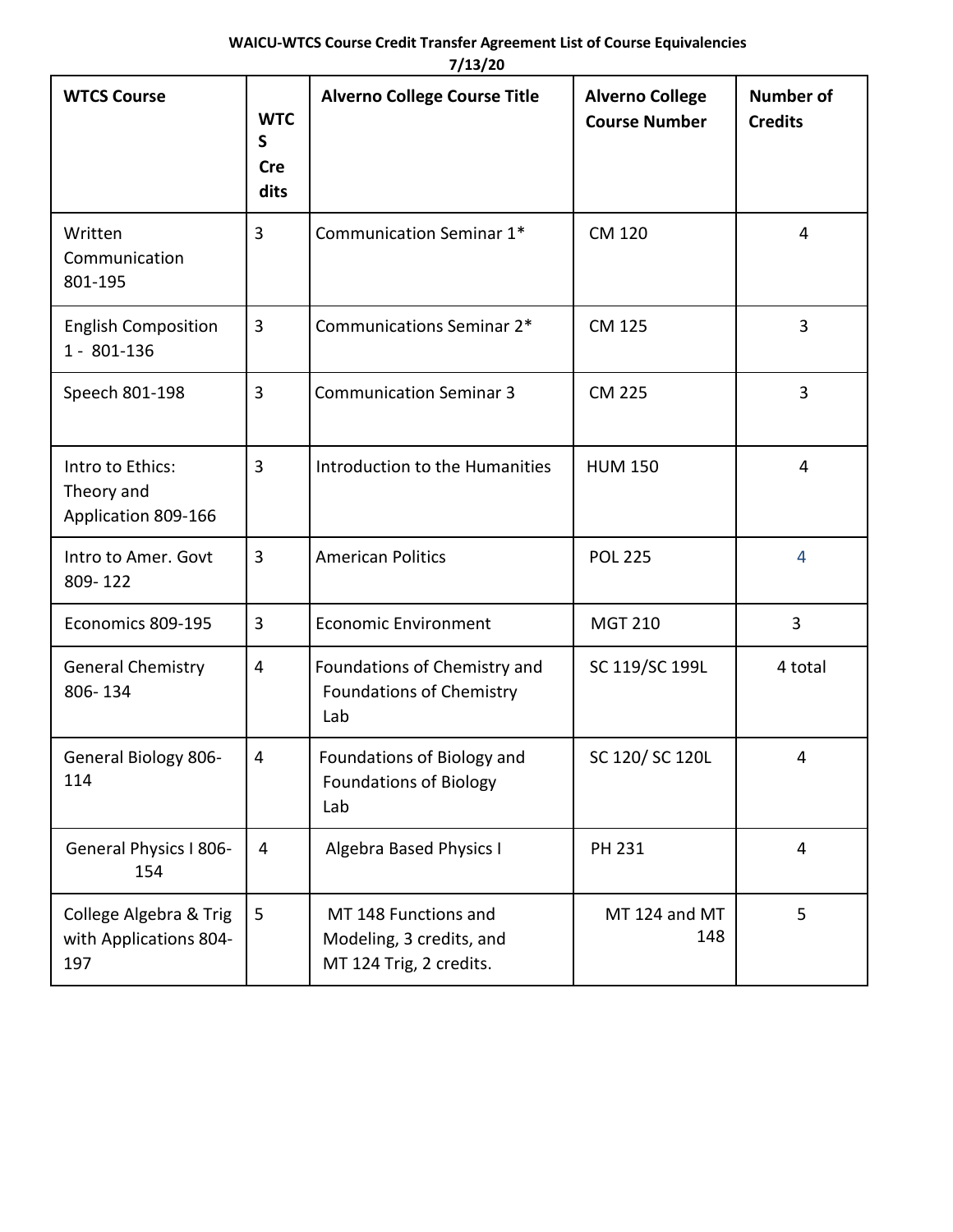| <b>WTCS Course</b>                                      | <b>WTC</b><br>$\mathsf{s}$ | <b>Alverno College Course Title</b>                                         | <b>Alverno College</b><br><b>Course Number</b> | <b>Number of</b><br><b>Credits</b> |
|---------------------------------------------------------|----------------------------|-----------------------------------------------------------------------------|------------------------------------------------|------------------------------------|
|                                                         | <b>Cre</b><br>dits         |                                                                             |                                                |                                    |
| Written<br>Communication<br>801-195                     | 3                          | Communication Seminar 1*                                                    | <b>CM 120</b>                                  | $\overline{4}$                     |
| <b>English Composition</b><br>1 - 801-136               | 3                          | Communications Seminar 2*                                                   | <b>CM 125</b>                                  | 3                                  |
| Speech 801-198                                          | 3                          | <b>Communication Seminar 3</b>                                              | <b>CM 225</b>                                  | $\overline{3}$                     |
| Intro to Ethics:<br>Theory and<br>Application 809-166   | 3                          | Introduction to the Humanities                                              | <b>HUM 150</b>                                 | $\overline{4}$                     |
| Intro to Amer. Govt<br>809-122                          | 3                          | <b>American Politics</b>                                                    | <b>POL 225</b>                                 | $\overline{4}$                     |
| Economics 809-195                                       | 3                          | <b>Economic Environment</b>                                                 | <b>MGT 210</b>                                 | 3                                  |
| <b>General Chemistry</b><br>806-134                     | 4                          | Foundations of Chemistry and<br><b>Foundations of Chemistry</b><br>Lab      | SC 119/SC 199L                                 | 4 total                            |
| General Biology 806-<br>114                             | 4                          | Foundations of Biology and<br><b>Foundations of Biology</b><br>Lab          | SC 120/SC 120L                                 | 4                                  |
| General Physics I 806-<br>154                           | 4                          | <b>Algebra Based Physics I</b>                                              | PH 231                                         | 4                                  |
| College Algebra & Trig<br>with Applications 804-<br>197 | 5                          | MT 148 Functions and<br>Modeling, 3 credits, and<br>MT 124 Trig, 2 credits. | MT 124 and MT<br>148                           | 5                                  |